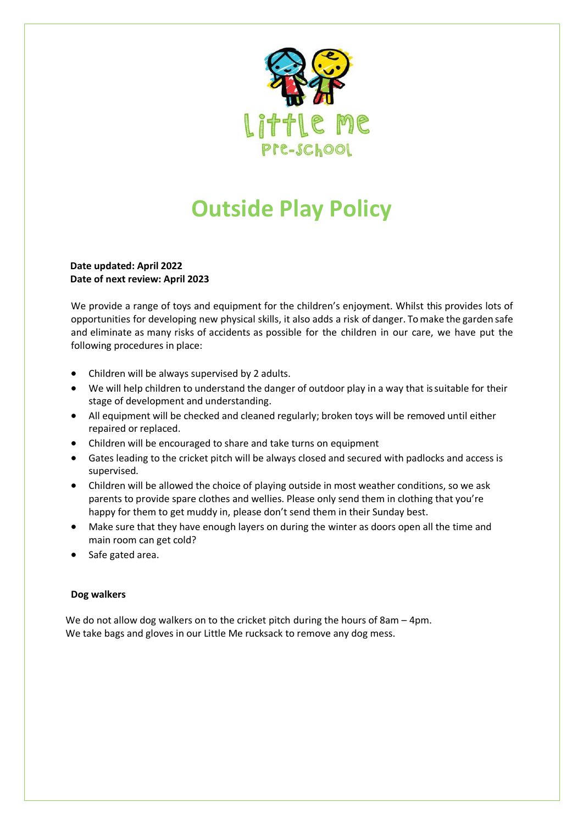

## **Outside Play Policy**

## **Date updated: April 2022 Date of next review: April 2023**

We provide a range of toys and equipment for the children's enjoyment. Whilst this provides lots of opportunities for developing new physical skills, it also adds a risk of danger. Tomake the garden safe and eliminate as many risks of accidents as possible for the children in our care, we have put the following procedures in place:

- Children will be always supervised by 2 adults.
- We will help children to understand the danger of outdoor play in a way that is suitable for their stage of development and understanding.
- All equipment will be checked and cleaned regularly; broken toys will be removed until either repaired or replaced.
- Children will be encouraged to share and take turns on equipment
- Gates leading to the cricket pitch will be always closed and secured with padlocks and access is supervised.
- Children will be allowed the choice of playing outside in most weather conditions, so we ask parents to provide spare clothes and wellies. Please only send them in clothing that you're happy for them to get muddy in, please don't send them in their Sunday best.
- Make sure that they have enough layers on during the winter as doors open all the time and main room can get cold?
- Safe gated area.

## **Dog walkers**

We do not allow dog walkers on to the cricket pitch during the hours of 8am – 4pm. We take bags and gloves in our Little Me rucksack to remove any dog mess.